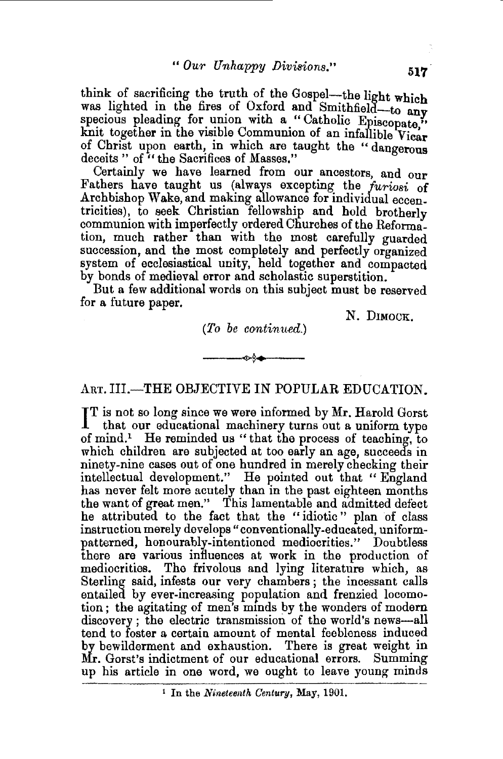think of sacrificing the truth of the Gospel-the light which was lighted in the fires of Oxford and Smithfield-to any specious pleading for union with a "Catholic Episcopate," knit together in the visible Communion of an infallible Vicar of Christ upon earth, in which are taught the " dangerous deceits " of " the Sacrifices of Masses."

Certainly we have learned from our ancestors, and our Fathers have taught us {always excepting the *furiosi* of Archbishop Wake, and making allowance for individual eccentricities), to seek Christian fellowship and hold brotherly communion with imperfectly ordered Churches of the Reformation, much rather than with the most carefully guarded succession, and the most completely and perfectly organized system of ecclesiastical unity, held together and compacted by bonds of medieval error and scholastic superstition.

But a few additional words on this subject must be reserved for a future paper.

*(To be continued.)* 

N. DIMOCK.

---<~>\$f-4•--- ART. III.-THE OBJECTIVE IN POPULAR EDUCATION.

IT is not so long since we were informed by Mr. Harold Gorst that our educational machinery turns out a uniform type that our educational machinery turns out a uniform type of mind.1 He reminded us " that the process of teaching, to which children are subjected at too early an age, succeeds in ninety-nine cases out of one hundred in merely checking their intellectual development." He pointed out that "England has never felt more acutely than in the past eighteen months the want of great men." This lamentable and admitted defect he attributed to the fact that the "idiotic" plan of class instruction merely develops" conventionally-educated, uniformpatterned, honourably-intentioned mediocrities." Doubtless there are various influences at work in the production of mediocrities. The frivolous and lying literature which, as Sterling said, infests our very chambers ; the incessant calls entailed by ever-increasing population and frenzied locomotion; the agitating of men's minds by the wonders of modern discovery; the electric transmission of the world's news-all tend to foster a certain amount of mental feebleness induced by bewilderment and exhaustion. There is great weight in Mr. Gorst's indictment of our educational errors. Summing up his article in one word, we ought to leave young minds

<sup>&</sup>lt;sup>1</sup> In the *Nineteenth Century*, May, 1901.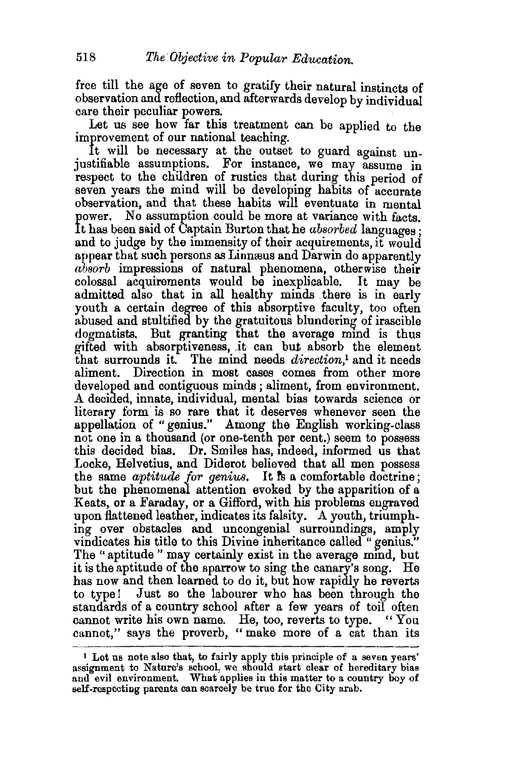free till the age of seven to gratify their natural instincts of observation and reflection, and afterwards develop by individual care their peculiar powers.

Let us see how far this treatment can be applied to the improvement of our national teaching.

It will be necessary at the outset to guard against unjustifiable assumptions. For instance, we may assume in respect to the children of rustics that during this period of seven vears the mind will be developing habits of accurate observation, and that these habits will eventuate in mental power. No assumption could be more at variance with facts No assumption could be more at variance with facts. It has been said of Captain Burton that he *absorbed* languages · and to judge by the immensity of their acquirements, it would appear that such persons as Linnæus and Darwin do apparently *absorb* impressions of natural phenomena, otherwise their colossal acquirements would be inexplicable. It may be admitted also that in all healthy minds there is in early youth a certain degree of this absorptive faculty, too often abused and stultified by the gratuitous blundering of irascible dogmatists. But granting that the average mind is thus gifted with absorptiveness, .it can but absorb the element that surrounds it. The mind needs *direction,*1 and it needs aliment. Direction in most cases comes from other more developed and contiguous minds; aliment, from environment. A decided, innate, individual, mental bias towards science or literary form is so rare that it deserves whenever seen the appellation of "genius." Among the English working-class not one in a thousand (or one-tenth per cent.) seem to possess this decided bias. Dr. Smiles has, mdeed, informed us that Locke, Helvetius, and Diderot believed that all men possess the same *aptitude for genius*. It is a comfortable doctrine; but the phenomenal attention evoked by the apparition of a Keats, or a Faraday, or a Gifford, with his problems engraved upon flattened leather, indicates its falsity. A youth, triumphing over obstacles and uncongenial surroundings, amply vindicates his title to this Divine inheritance called "genius." The "aptitude" may certainly exist in the average mind, but it is the aptitude of the sparrow to sing the canary's song. He has now and then learned to do it, but how rapidly he reverts to type! Just so the labourer who has been through the standards of a country school after a few years of toil often cannot write his own name. He, too, reverts to type. "You cannot," says the proverb, " make more of a cat than its

<sup>1</sup>Let us note also that, to fairly apply this principle of a seven years' assignment to Nature's school, we should start clear of hereditary bias and evil environment. What applies in this matter to a country boy of self.respecting parents can scarcely be true for the City arab.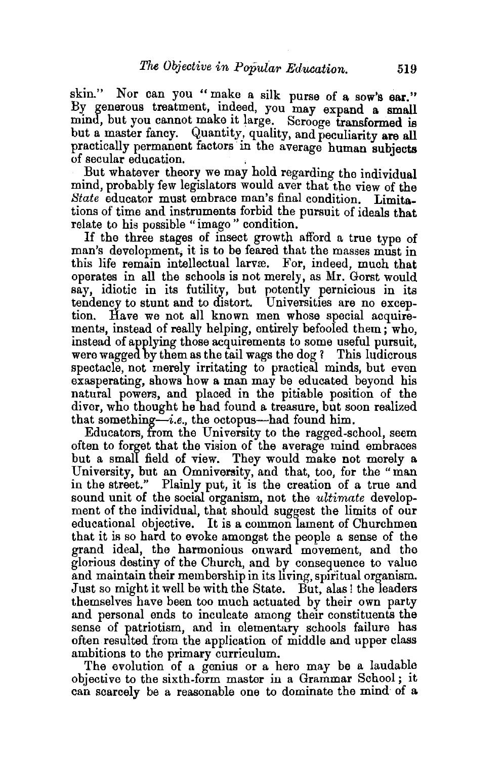skin." Nor can you "make a silk purse of a sow's ear." By generous treatment, indeed, you may expand a small mind, but you cannot make it large. Scrooge transformed is but a master fancy. Quantity, quality, and peculiarity are all practically permanent factors in the average human subjects of secular education.

But whatever theory we may hold regarding the individual mind, probably few legislators would aver that the view of the *State* educator must embrace man's final condition. Limitations of time and instruments forbid the pursuit of ideals that relate to his possible "imago " condition.

If the three stages of insect growth afford a true type of man's development, it is to be feared that the masses must in this life remain intellectual larvæ. For, indeed, much that operates in all the schools is not merely, as Mr. Gorst would say, idiotic in its futility, but potently pernicious in its tendency to stunt and to distort. Universities are no exception. Have we not all known men whose special acquirements, instead of really helping, entirely befooled them; who, instead of applying those acquirements to some useful pursuit, were wagged by them as the tail wags the dog *?* This ludicrous spectacle, not merely irritating to practical minds, but even exasperating, shows how a man may be educated beyond his natural powers, and placed in the pitiable position of the diver, who thought he had found a treasure, but soon realized that something-i.e., the octopus-had found him.

Educators, from the University to the ragged-school, seem often to forget that the vision of the average mind embraces but a small field of view. They would make not merely a University, but an Omnivemity, and that, too, for the "man in the street." Plainly put, it is the creation of a true and sound unit of the social organism, not the *ultimate* development of the individual, that should suggest the limits of our educational objective. It is a common lament of Churchmen that it is so hard to evoke amongst the people a sense of the grand ideal, the harmonious onward movement, and the glorious destiny of the Church, and by conseguence to value and maintain their membership in its living, spiritual organism. Just so might it well be with the State. But, alas! the leaders themselves have been too much actuated by their own party and personal ends to inculcate among their constituents the sense of patriotism, and in elementary schools failure has often resulted from the application of middle and upper class ambitions to the primary curriculum.

The evolution of a genius or a hero may be a laudable objective to the sixth-form master in a Grammar School ; it can scarcely be a reasonable one to dominate the mind of a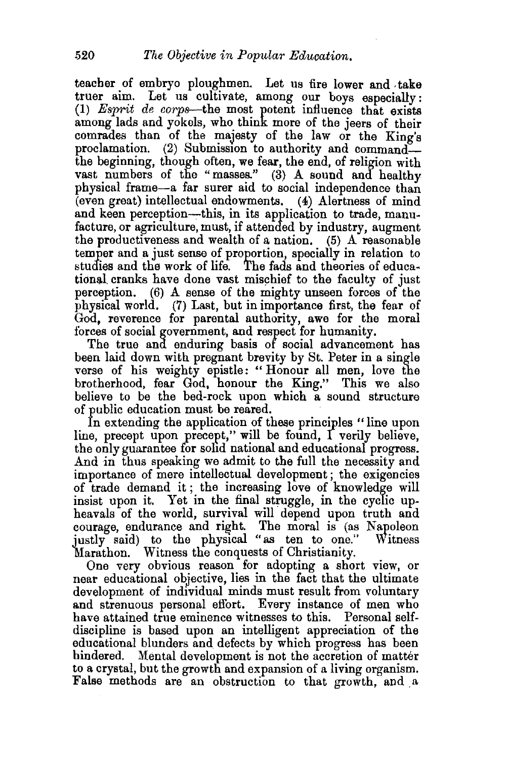teacher of embryo ploughmen. Let us fire lower and . take truer aim. Let us cultivate, among our boys especially: (1) *Esprit de corps-the* most potent influence that exists among lads and yokels, who think more of the jeers of their comrades than of the majesty of the law or the King's proclamation. (2) Submission to authority and commandthe beginning, though often, we fear, the end, of religion with vast numbers of the "masses." (3) A sound and healthy physical frame-a far surer aid to social independence than (even great) intellectual endowments. (4) Alertness of mind and keen perception---this, in its application to trade, manufacture, or agriculture, must, if attended by industry, augment the productiveness and wealth of a nation. (5) A reasonable temper and a just sense of proportion, specially in relation to studies and the work of life. The fads and theories of educational cranks have done vast mischief to the faculty of just perception. (6) A sense of the mighty unseen forces of the physical world. (7) Last, but in importance first, the fear of God, reverence for parental authority, awe for the moral forces of social government, and respect for humanity.

The true and enduring basis of social advancement has been laid down with pregnant brevity by St. Peter in a single verse of his weighty epistle: " Honour all men, love the brotherhood, fear God, honour the King." This we also believe to be the bed-rock upon which a sound structure of public education must be reared.

In extending the application of these principles " line upon line, precept upon precept," will be found, I verily believe, the only guarantee for sohd national and educational progress. And in thus speaking we admit to the full the necessity and importance of mere intellectual development; the exigencies of trade demand it ; the increasing love of knowledge will insist upon it. Yet in the final struggle, in the cyclic upheavals of the world, survival will depend upon truth and courage, endurance and right. The moral is (as Napoleon justly said) to the physical "as ten to one." Witness Marathon. Witness the conquests of Christianity.

One very obvious reason for adopting a short view, or near educational objective, lies in the fact that the ultimate development of individual minds must result from voluntary and strenuous personal effort. Every instance of men who have attained true eminence witnesses to this. Personal selfdiscipline is based upon an intelligent appreciation of the educational blunders and defects by which progress has been hindered. Mental development is not the accretion of matter to a crystal, but the growth and expansion of a living organism. False methods are an obstruction to that growth, and a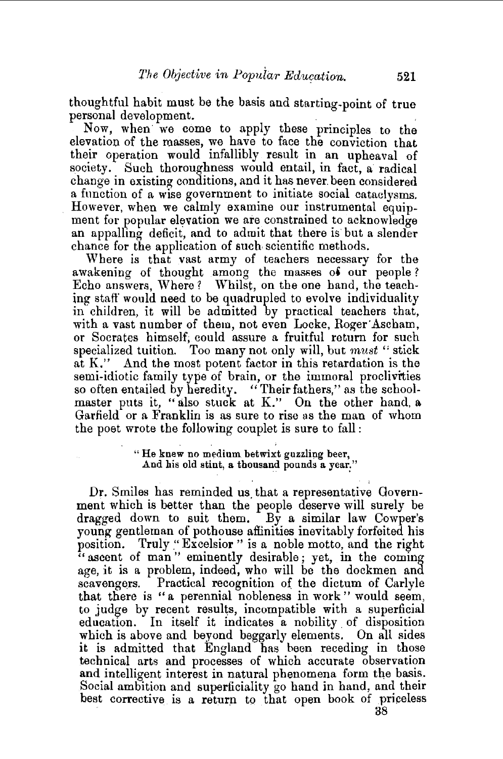thoughtful habit must be the basis and starting-point of true personal development.

Now, when we come to apply these principles to the elevation of the masses, we have to face the conviction that their operation would infallibly result in an upheaval of society. Such thoroughness would entail, in fact, a radical change in existing conditions, and it has never. been considered a function of a wise government to initiate social cataclysms. However, when we calmly examine our instrumental equipment for popular elevation we are constrained to acknowledge an appalling deficit, and to admit that there is but a slender chance for the application of such. scientific methods.

Where is that vast army of teachers necessary for the awakening of thought among the masses of our people? Echo answers, Where? Whilst, on the one hand, the teaching staff' would need to be quadrupled to evolve individuality in children, it will be admitted by practical teachers that, with a vast number of them, not even Locke, Roger'Ascham, or Socrates himself; could assure a fruitful return for such specialized tuition. Too many not only will, but *must* " stick at K." And the most potent factor in this retardation is the semi-idiotic family type of brain, or the immoral proclivities so often entailed by heredity. "Their fathers," as the schoolmaster puts it, "also stuck at K." On the other hand, a Garfield or a Franklin is as sure to rise as the man of whom the poet wrote the following couplet is sure to fall:

> " He knew no medinm betwixt guzzlipg beer, And his old stint, a thousand pounds a year."

Dr. Smiles has reminded us that a representative Government which is better than the people deserve will surely be dragged down to suit them. By a similar law Cowper's young gentleman of pothouse affinities inevitably forfeited his position. Truly "Excelsior" is a noble motto, and the right " ascent of man" eminently desirable; yet, in the coming age, it is a problem, indeed, who will be the dockmen and scavengers. Practical recognition of the dictum of Carlyle that there is "a perennial nobleness in work " would seem, to judge by recent results, incompatible with a superficial education. In itself it indicates a nobility. of disposition which is above and beyond beggarly elements. On all sides it is admitted that England has been receding in those technical arts and processes of which accurate observation and intelligent interest in natural phenomena form the basis. Social ambition and superficiality go hand in hand, and their best corrective is a return to that open book of priceless 38

l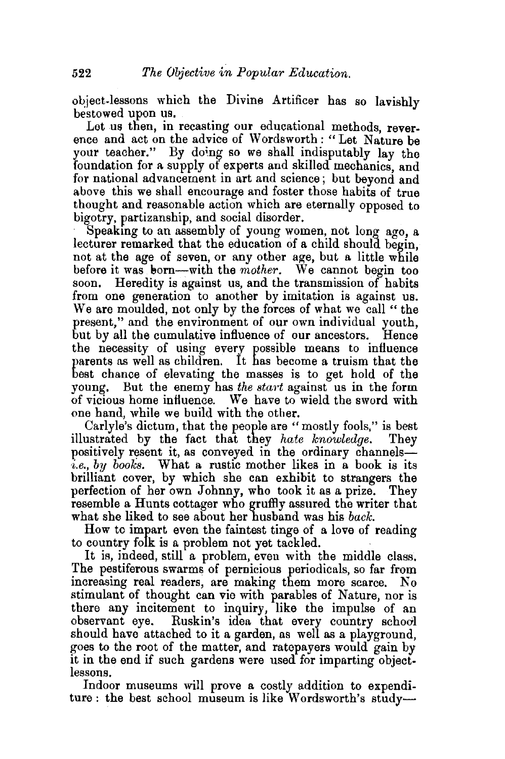object-lessons which the Divine Artificer has so lavishly bestowed upon us.

Let us then, in recasting our educational methods, reverence and act on the advice of Wordsworth:" Let Nature be your teacher." By doing so we shall indisputably lay the foundation for a supply of experts and skilled mechanics, and for national advancement in art and science; but beyond and above this we shall encourage and foster those habits of true thought and reasonable action which are eternally opposed to bigotry, partizanship, and social disorder.

Speaking to an assembly of young women, not long ago, a lecturer remarked that the education of a child should begin, not at the age of seven, or any other age, but a little while before it was born—with the *mother*. We cannot begin too soon. Heredity is against us, and the transmission of habits from one generation to another by imitation is against us. We are moulded, not only by the forces of what we call " the present," and the environment of our own individual youth, but by all the cumulative influence of our ancestors. Hence the necessity of using every possible means to influence parents as well as children. It has become a truism that the best chance of elevating the masses is to get hold of the young. But the enemy has the start against us in the form of vicious home influence. We have to wield the sword with one hand, while we build with the other.

Carlyle's dictum, that the people are "mostly fools," is best illustrated by the fact that they *hate knowledge.* They positively resent it, as conveyed in the ordinary channels*i.e., by books.* What a rustic mother likes in a book is its brilliant cover, by which she can exhibit to strangers the perfection of her own Johnny, who took it as a prize. They resemble a Hunts cottager who gruffly assured the writer that what she liked to see about her husband was his *back.* 

How to impart even the faintest tinge of a love of reading to country folk is a problem not yet tackled.<br>It is, indeed, still a problem, even with the middle class.

The pestiferous swarms of pernicious periodicals, so far from increasing real readers, are making them more scarce. No stimulant of thought can vie with parables of Nature, nor is there any incitement to inquiry, like the impulse of an observant eye. Ruskin's idea that every country school should have attached to it a garden, as well as a playground, goes to the root of the matter, and ratepayers would gain by it in the end if such gardens were used for imparting objectlessons.

Indoor museums will prove a costly addition to expenditure : the best school museum is like Wordsworth's study-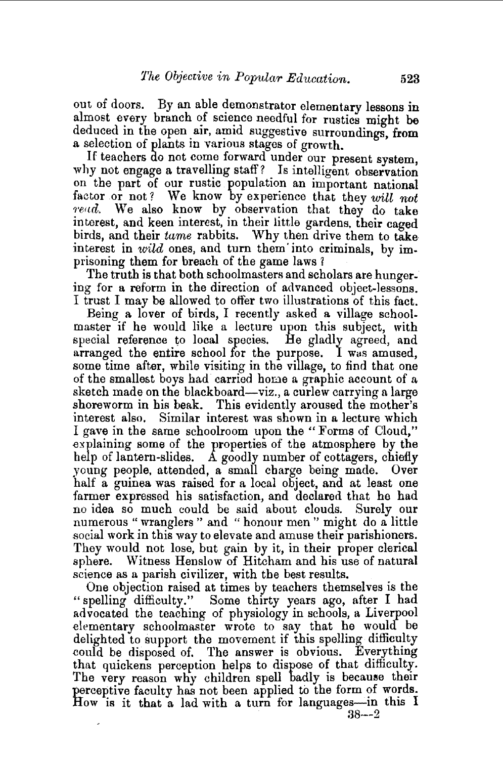out of doors. By an able demonstrator elementary lessons in almost every branch of science needful for rustics might be deduced in the open air, amid suggestive surroundings, from a selection of plants in various stages of growth.

If teachers do not come forward under our present system, why not engage a travelling staff? Is intelligent observation on the part of our rustic population an important national factor or not? We know by experience that they *will* not read. We also know by observation that they do take interest, and keen interest, in their little gardens, their caged birds, and their *tame* rabbits. Why then drive them to take interest in *wild* ones, and turn them into criminals, by imprisoning them for breach of the game laws?

The truth is that both schoolmasters and scholars are hungering for a reform in the direction of advanced object-lessons. I trust I may be allowed to offer two illustrations of this fact.

Being a lover of birds, I recently asked a village schoolmaster if he would like a lecture upon this subject, with special reference to local species. He gladly agreed, and arranged the entire school for the purpose. I was amused, some time after, while visiting in the village, to find that one of the smallest boys had carried home a graphic account of a sketch made on the blackboard—viz., a curlew carrying a large shoreworm in his beak. This evidently aroused the mother's interest also. Similar interest was shown in a lecture which I gave in the same schoolroom upon the "Forms of Cloud," .explaining some of the properties of the atmosphere by the help of lantern-slides. A goodly number of cottagers, chiefly young people, attended, a small charge being made. Over half a guinea was raised for a local object, and at least one farmer expressed his satisfaction, and declared that he had no idea so much could be said about clouds. Surely our numerous "wranglers " and " honour men " might do a little social work in this way to elevate and amuse their parishioners. They would not lose, but gain by it, in their proper clerical sphere. Witness Henslow of Hitcham and his use of natural science as a parish civilizer, with the best results.

One objection raised at times by teachers themselves is the "spelling difficulty." Some thirty years ago, after I had advocated the teaching of physiology in schools, a Liverpool elementarv schoolmaster wrote to say that he would be delighted to support the movement if this spelling difficulty could be disposed of. The answer is obvious. Everything that quickens perception helps to dispose of that difficulty. The very reason why children spell badly is because their perceptive faculty has not been applied to the form of words. How is it that a lad with a turn for languages-in this 1 38--2